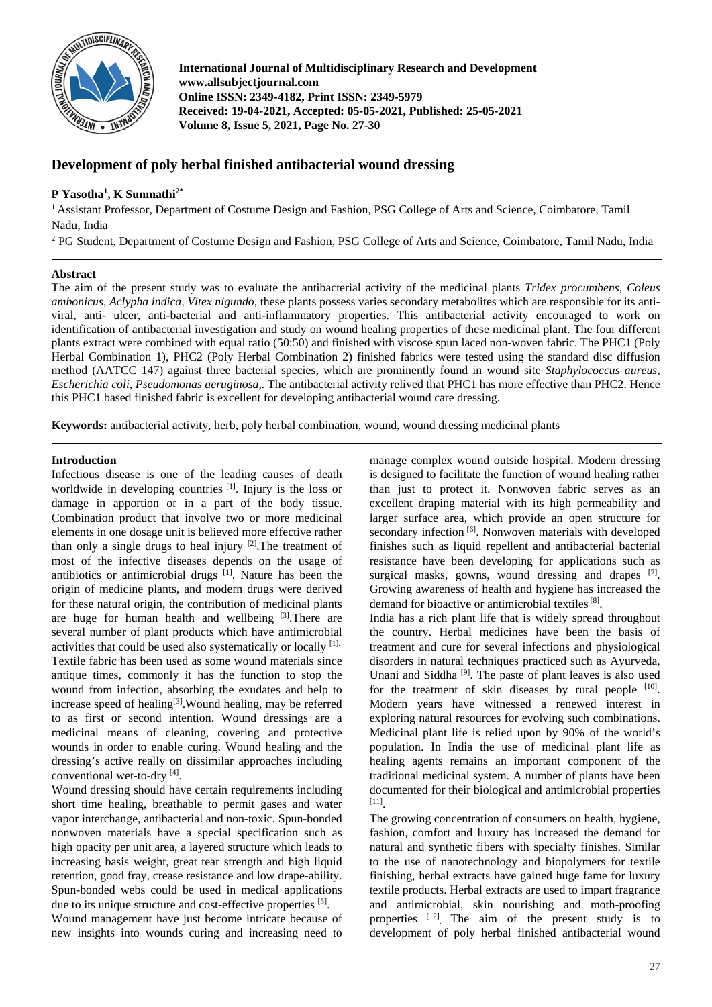

**International Journal of Multidisciplinary Research and Development www.allsubjectjournal.com Online ISSN: 2349-4182, Print ISSN: 2349-5979 Received: 19-04-2021, Accepted: 05-05-2021, Published: 25-05-2021 Volume 8, Issue 5, 2021, Page No. 27-30**

# **Development of poly herbal finished antibacterial wound dressing**

# **P Yasotha1 , K Sunmathi2\***

<sup>1</sup> Assistant Professor, Department of Costume Design and Fashion, PSG College of Arts and Science, Coimbatore, Tamil Nadu, India

<sup>2</sup> PG Student, Department of Costume Design and Fashion, PSG College of Arts and Science, Coimbatore, Tamil Nadu, India

## **Abstract**

The aim of the present study was to evaluate the antibacterial activity of the medicinal plants *Tridex procumbens, Coleus ambonicus, Aclypha indica, Vitex nigundo,* these plants possess varies secondary metabolites which are responsible for its antiviral, anti- ulcer, anti-bacterial and anti-inflammatory properties. This antibacterial activity encouraged to work on identification of antibacterial investigation and study on wound healing properties of these medicinal plant. The four different plants extract were combined with equal ratio (50:50) and finished with viscose spun laced non-woven fabric. The PHC1 (Poly Herbal Combination 1), PHC2 (Poly Herbal Combination 2) finished fabrics were tested using the standard disc diffusion method (AATCC 147) against three bacterial species, which are prominently found in wound site *Staphylococcus aureus, Escherichia coli, Pseudomonas aeruginosa,.* The antibacterial activity relived that PHC1 has more effective than PHC2. Hence this PHC1 based finished fabric is excellent for developing antibacterial wound care dressing.

**Keywords:** antibacterial activity, herb, poly herbal combination, wound, wound dressing medicinal plants

## **Introduction**

Infectious disease is one of the leading causes of death worldwide in developing countries [1]. Injury is the loss or damage in apportion or in a part of the body tissue. Combination product that involve two or more medicinal elements in one dosage unit is believed more effective rather than only a single drugs to heal injury [2].The treatment of most of the infective diseases depends on the usage of antibiotics or antimicrobial drugs [1]. Nature has been the origin of medicine plants, and modern drugs were derived for these natural origin, the contribution of medicinal plants are huge for human health and wellbeing [3]. There are several number of plant products which have antimicrobial activities that could be used also systematically or locally [1]. Textile fabric has been used as some wound materials since antique times, commonly it has the function to stop the wound from infection, absorbing the exudates and help to increase speed of healing $[3]$ . Wound healing, may be referred to as first or second intention. Wound dressings are a medicinal means of cleaning, covering and protective wounds in order to enable curing. Wound healing and the dressing's active really on dissimilar approaches including conventional wet-to-dry [4].

Wound dressing should have certain requirements including short time healing, breathable to permit gases and water vapor interchange, antibacterial and non-toxic. Spun-bonded nonwoven materials have a special specification such as high opacity per unit area, a layered structure which leads to increasing basis weight, great tear strength and high liquid retention, good fray, crease resistance and low drape-ability. Spun-bonded webs could be used in medical applications due to its unique structure and cost-effective properties [5]. Wound management have just become intricate because of

new insights into wounds curing and increasing need to

manage complex wound outside hospital. Modern dressing is designed to facilitate the function of wound healing rather than just to protect it. Nonwoven fabric serves as an excellent draping material with its high permeability and larger surface area, which provide an open structure for secondary infection [6]. Nonwoven materials with developed finishes such as liquid repellent and antibacterial bacterial resistance have been developing for applications such as surgical masks, gowns, wound dressing and drapes [7]. Growing awareness of health and hygiene has increased the demand for bioactive or antimicrobial textiles<sup>[8]</sup>.

India has a rich plant life that is widely spread throughout the country. Herbal medicines have been the basis of treatment and cure for several infections and physiological disorders in natural techniques practiced such as Ayurveda, Unani and Siddha<sup>[9]</sup>. The paste of plant leaves is also used for the treatment of skin diseases by rural people [10]. Modern years have witnessed a renewed interest in exploring natural resources for evolving such combinations. Medicinal plant life is relied upon by 90% of the world's population. In India the use of medicinal plant life as healing agents remains an important component of the traditional medicinal system. A number of plants have been documented for their biological and antimicrobial properties [11] .

The growing concentration of consumers on health, hygiene, fashion, comfort and luxury has increased the demand for natural and synthetic fibers with specialty finishes. Similar to the use of nanotechnology and biopolymers for textile finishing, herbal extracts have gained huge fame for luxury textile products. Herbal extracts are used to impart fragrance and antimicrobial, skin nourishing and moth-proofing properties <sup>[12]</sup>. The aim of the present study is to development of poly herbal finished antibacterial wound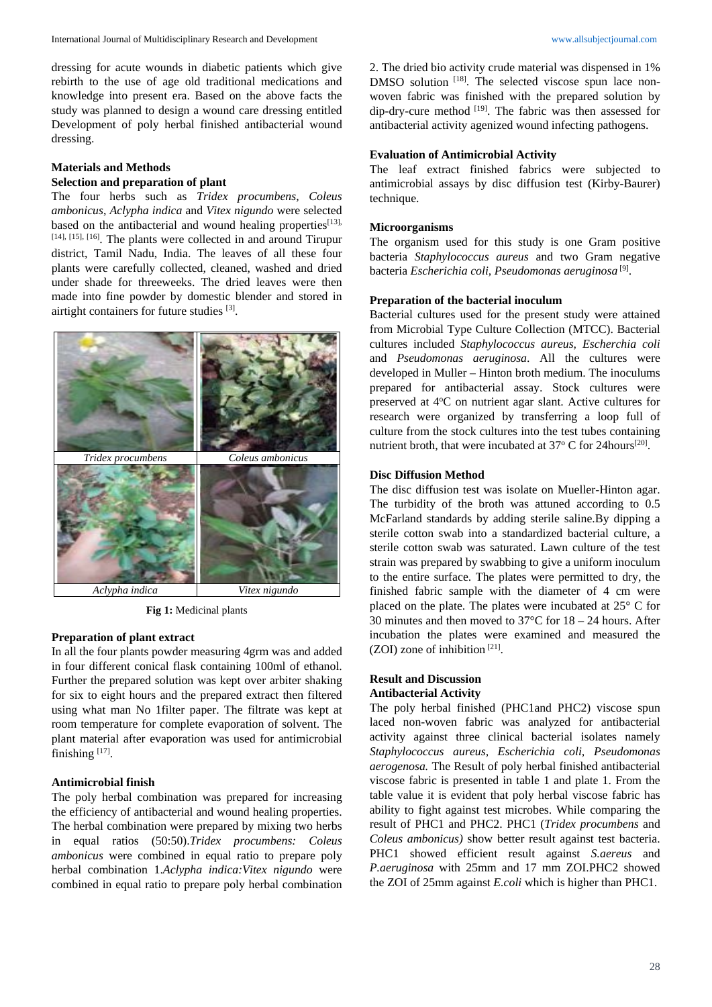dressing for acute wounds in diabetic patients which give rebirth to the use of age old traditional medications and knowledge into present era. Based on the above facts the study was planned to design a wound care dressing entitled Development of poly herbal finished antibacterial wound dressing.

# **Materials and Methods**

# **Selection and preparation of plant**

The four herbs such as *Tridex procumbens, Coleus ambonicus*, *Aclypha indica* and *Vitex nigundo* were selected based on the antibacterial and wound healing properties<sup>[13],</sup> [14], [15], [16]. The plants were collected in and around Tirupur district, Tamil Nadu, India. The leaves of all these four plants were carefully collected, cleaned, washed and dried under shade for threeweeks. The dried leaves were then made into fine powder by domestic blender and stored in airtight containers for future studies [3].



**Fig 1:** Medicinal plants

#### **Preparation of plant extract**

In all the four plants powder measuring 4grm was and added in four different conical flask containing 100ml of ethanol. Further the prepared solution was kept over arbiter shaking for six to eight hours and the prepared extract then filtered using what man No 1filter paper. The filtrate was kept at room temperature for complete evaporation of solvent. The plant material after evaporation was used for antimicrobial finishing [17].

# **Antimicrobial finish**

The poly herbal combination was prepared for increasing the efficiency of antibacterial and wound healing properties. The herbal combination were prepared by mixing two herbs in equal ratios (50:50).*Tridex procumbens: Coleus ambonicus* were combined in equal ratio to prepare poly herbal combination 1.*Aclypha indica:Vitex nigundo* were combined in equal ratio to prepare poly herbal combination 2. The dried bio activity crude material was dispensed in 1% DMSO solution <sup>[18]</sup>. The selected viscose spun lace nonwoven fabric was finished with the prepared solution by dip-dry-cure method <a>[19]</a>. The fabric was then assessed for antibacterial activity agenized wound infecting pathogens.

### **Evaluation of Antimicrobial Activity**

The leaf extract finished fabrics were subjected to antimicrobial assays by disc diffusion test (Kirby-Baurer) technique.

#### **Microorganisms**

The organism used for this study is one Gram positive bacteria *Staphylococcus aureus* and two Gram negative bacteria *Escherichia coli, Pseudomonas aeruginosa* [9] .

#### **Preparation of the bacterial inoculum**

Bacterial cultures used for the present study were attained from Microbial Type Culture Collection (MTCC). Bacterial cultures included *Staphylococcus aureus, Escherchia coli* and *Pseudomonas aeruginosa*. All the cultures were developed in Muller – Hinton broth medium. The inoculums prepared for antibacterial assay. Stock cultures were preserved at 4°C on nutrient agar slant. Active cultures for research were organized by transferring a loop full of culture from the stock cultures into the test tubes containing nutrient broth, that were incubated at  $37^{\circ}$  C for 24 hours<sup>[20]</sup>.

#### **Disc Diffusion Method**

The disc diffusion test was isolate on Mueller-Hinton agar. The turbidity of the broth was attuned according to 0.5 McFarland standards by adding sterile saline.By dipping a sterile cotton swab into a standardized bacterial culture, a sterile cotton swab was saturated. Lawn culture of the test strain was prepared by swabbing to give a uniform inoculum to the entire surface. The plates were permitted to dry, the finished fabric sample with the diameter of 4 cm were placed on the plate. The plates were incubated at 25° C for 30 minutes and then moved to 37°C for 18 – 24 hours. After incubation the plates were examined and measured the (ZOI) zone of inhibition  $[21]$ .

### **Result and Discussion Antibacterial Activity**

The poly herbal finished (PHC1and PHC2) viscose spun laced non-woven fabric was analyzed for antibacterial activity against three clinical bacterial isolates namely *Staphylococcus aureus, Escherichia coli, Pseudomonas aerogenosa.* The Result of poly herbal finished antibacterial viscose fabric is presented in table 1 and plate 1. From the table value it is evident that poly herbal viscose fabric has ability to fight against test microbes. While comparing the result of PHC1 and PHC2. PHC1 (*Tridex procumbens* and *Coleus ambonicus)* show better result against test bacteria. PHC1 showed efficient result against *S.aereus* and *P.aeruginosa* with 25mm and 17 mm ZOI.PHC2 showed the ZOI of 25mm against *E.coli* which is higher than PHC1.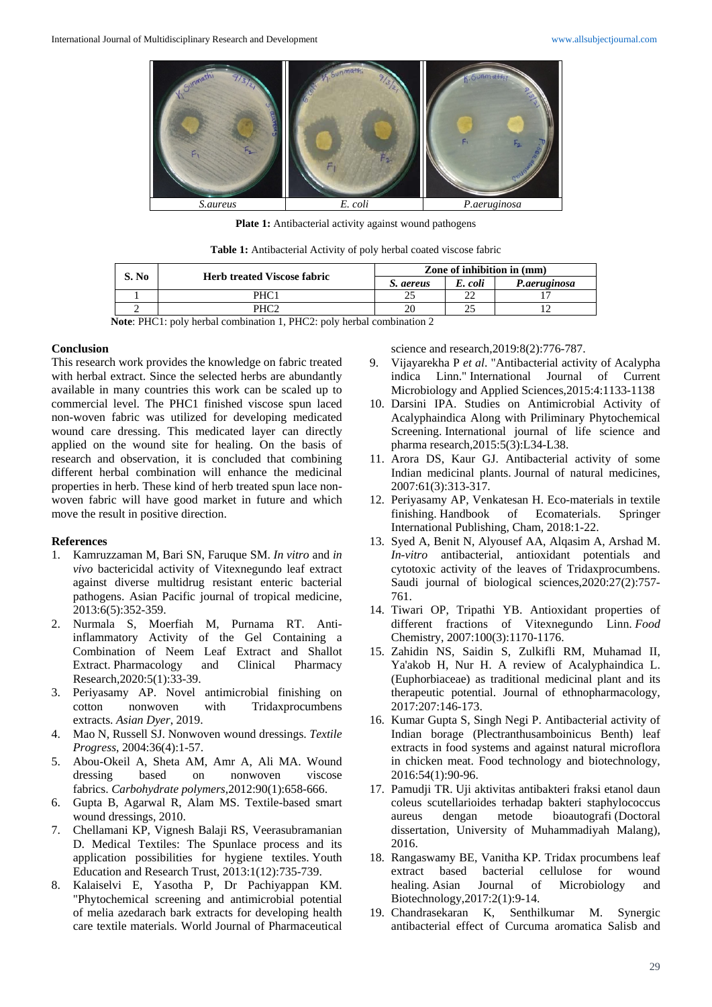

Plate 1: Antibacterial activity against wound pathogens

**Table 1:** Antibacterial Activity of poly herbal coated viscose fabric

| S. No | <b>Herb treated Viscose fabric</b> | Zone of inhibition in (mm) |         |              |
|-------|------------------------------------|----------------------------|---------|--------------|
|       |                                    | S. aereus                  | E. coli | P.aeruginosa |
|       | PHC                                |                            |         |              |
|       |                                    | 20                         |         |              |

**Note**: PHC1: poly herbal combination 1, PHC2: poly herbal combination 2

#### **Conclusion**

This research work provides the knowledge on fabric treated with herbal extract. Since the selected herbs are abundantly available in many countries this work can be scaled up to commercial level. The PHC1 finished viscose spun laced non-woven fabric was utilized for developing medicated wound care dressing. This medicated layer can directly applied on the wound site for healing. On the basis of research and observation, it is concluded that combining different herbal combination will enhance the medicinal properties in herb. These kind of herb treated spun lace nonwoven fabric will have good market in future and which move the result in positive direction.

## **References**

- 1. Kamruzzaman M, Bari SN, Faruque SM. *In vitro* and *in vivo* bactericidal activity of Vitexnegundo leaf extract against diverse multidrug resistant enteric bacterial pathogens. Asian Pacific journal of tropical medicine, 2013:6(5):352-359.
- 2. Nurmala S, Moerfiah M, Purnama RT. Antiinflammatory Activity of the Gel Containing a Combination of Neem Leaf Extract and Shallot Extract. Pharmacology and Clinical Pharmacy Research,2020:5(1):33-39.
- 3. Periyasamy AP. Novel antimicrobial finishing on cotton nonwoven with Tridaxprocumbens extracts. *Asian Dyer*, 2019.
- 4. Mao N, Russell SJ. Nonwoven wound dressings. *Textile Progress*, 2004:36(4):1-57.
- 5. Abou-Okeil A, Sheta AM, Amr A, Ali MA. Wound dressing based on nonwoven viscose fabrics. *Carbohydrate polymers*,2012:90(1):658-666.
- 6. Gupta B, Agarwal R, Alam MS. Textile-based smart wound dressings, 2010.
- 7. Chellamani KP, Vignesh Balaji RS, Veerasubramanian D. Medical Textiles: The Spunlace process and its application possibilities for hygiene textiles. Youth Education and Research Trust, 2013:1(12):735-739.
- 8. Kalaiselvi E, Yasotha P, Dr Pachiyappan KM. "Phytochemical screening and antimicrobial potential of melia azedarach bark extracts for developing health care textile materials. World Journal of Pharmaceutical

science and research,2019:8(2):776-787.

- 9. Vijayarekha P *et al*. "Antibacterial activity of Acalypha indica Linn." International Journal of Current Microbiology and Applied Sciences,2015:4:1133-1138
- 10. Darsini IPA. Studies on Antimicrobial Activity of Acalyphaindica Along with Priliminary Phytochemical Screening. International journal of life science and pharma research,2015:5(3):L34-L38.
- 11. Arora DS, Kaur GJ. Antibacterial activity of some Indian medicinal plants. Journal of natural medicines, 2007:61(3):313-317.
- 12. Periyasamy AP, Venkatesan H. Eco-materials in textile finishing. Handbook of Ecomaterials. Springer International Publishing, Cham, 2018:1-22.
- 13. Syed A, Benit N, Alyousef AA, Alqasim A, Arshad M. *In-vitro* antibacterial, antioxidant potentials and cytotoxic activity of the leaves of Tridaxprocumbens. Saudi journal of biological sciences,2020:27(2):757- 761.
- 14. Tiwari OP, Tripathi YB. Antioxidant properties of different fractions of Vitexnegundo Linn. *Food*  Chemistry, 2007:100(3):1170-1176.
- 15. Zahidin NS, Saidin S, Zulkifli RM, Muhamad II, Ya'akob H, Nur H. A review of Acalyphaindica L. (Euphorbiaceae) as traditional medicinal plant and its therapeutic potential. Journal of ethnopharmacology, 2017:207:146-173.
- 16. Kumar Gupta S, Singh Negi P. Antibacterial activity of Indian borage (Plectranthusamboinicus Benth) leaf extracts in food systems and against natural microflora in chicken meat. Food technology and biotechnology, 2016:54(1):90-96.
- 17. Pamudji TR. Uji aktivitas antibakteri fraksi etanol daun coleus scutellarioides terhadap bakteri staphylococcus aureus dengan metode bioautografi (Doctoral dissertation, University of Muhammadiyah Malang), 2016.
- 18. Rangaswamy BE, Vanitha KP. Tridax procumbens leaf extract based bacterial cellulose for wound healing. Asian Journal of Microbiology and Biotechnology,2017:2(1):9-14.
- 19. Chandrasekaran K, Senthilkumar M. Synergic antibacterial effect of Curcuma aromatica Salisb and